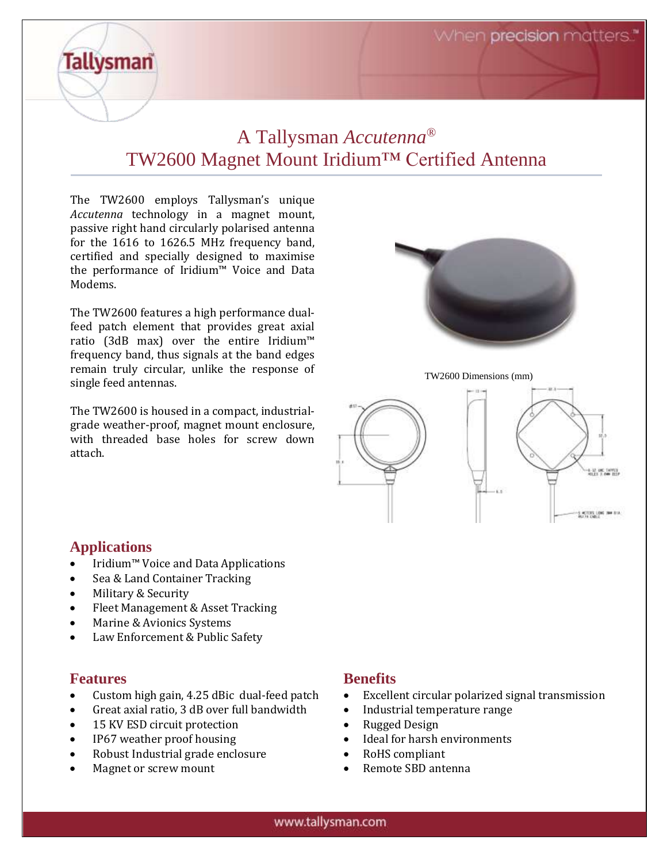When precision matters."

# A Tallysman *Accutenna®* TW2600 Magnet Mount Iridium™ Certified Antenna

The TW2600 employs Tallysman's unique *Accutenna* technology in a magnet mount, passive right hand circularly polarised antenna for the 1616 to 1626.5 MHz frequency band, certified and specially designed to maximise the performance of Iridium™ Voice and Data Modems.

The TW2600 features a high performance dualfeed patch element that provides great axial ratio (3dB max) over the entire Iridium™ frequency band, thus signals at the band edges remain truly circular, unlike the response of single feed antennas.

The TW2600 is housed in a compact, industrialgrade weather-proof, magnet mount enclosure, with threaded base holes for screw down attach.



TW2600 Dimensions (mm)



#### **Applications**

**Tallysman** 

- Iridium™ Voice and Data Applications
- Sea & Land Container Tracking
- Military & Security
- Fleet Management & Asset Tracking
- Marine & Avionics Systems
- Law Enforcement & Public Safety

#### **Features**

- Custom high gain, 4.25 dBic dual-feed patch
- Great axial ratio, 3 dB over full bandwidth
- 15 KV ESD circuit protection
- IP67 weather proof housing
- Robust Industrial grade enclosure
- Magnet or screw mount

#### **Benefits**

- Excellent circular polarized signal transmission
- Industrial temperature range
- Rugged Design
- Ideal for harsh environments
- RoHS compliant
- Remote SBD antenna